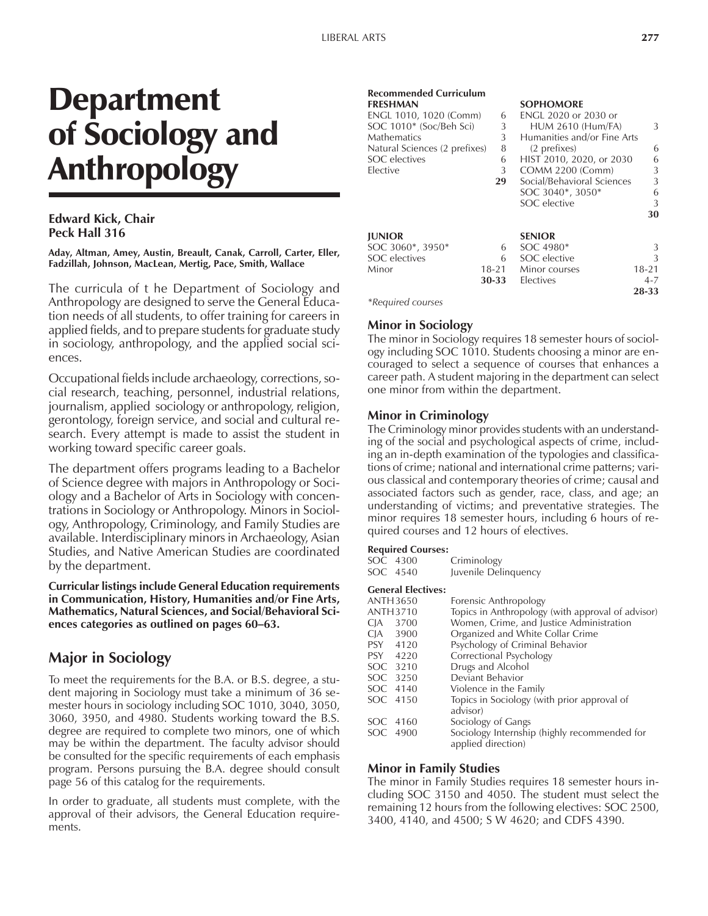# Department of Sociology and Anthropology

#### **Edward Kick, Chair Peck Hall 316**

**Aday, Altman, Amey, Austin, Breault, Canak, Carroll, Carter, Eller, Fadzillah, Johnson, MacLean, Mertig, Pace, Smith, Wallace**

The curricula of t he Department of Sociology and Anthropology are designed to serve the General Education needs of all students, to offer training for careers in applied fields, and to prepare students for graduate study in sociology, anthropology, and the applied social sciences.

Occupational fields include archaeology, corrections, social research, teaching, personnel, industrial relations, journalism, applied sociology or anthropology, religion, gerontology, foreign service, and social and cultural research. Every attempt is made to assist the student in working toward specific career goals.

The department offers programs leading to a Bachelor of Science degree with majors in Anthropology or Sociology and a Bachelor of Arts in Sociology with concentrations in Sociology or Anthropology. Minors in Sociology, Anthropology, Criminology, and Family Studies are available. Interdisciplinary minors in Archaeology, Asian Studies, and Native American Studies are coordinated by the department.

**Curricular listings include General Education requirements in Communication, History, Humanities and/or Fine Arts, Mathematics, Natural Sciences, and Social/Behavioral Sci**ences categories as outlined on pages 60–63.

## **Major in Sociology**

To meet the requirements for the B.A. or B.S. degree, a student majoring in Sociology must take a minimum of 36 semester hours in sociology including SOC 1010, 3040, 3050, 3060, 3950, and 4980. Students working toward the B.S. degree are required to complete two minors, one of which may be within the department. The faculty advisor should be consulted for the specific requirements of each emphasis program. Persons pursuing the B.A. degree should consult page 56 of this catalog for the requirements.

In order to graduate, all students must complete, with the approval of their advisors, the General Education requirements.

## **Recommended Curriculum**

| .                             |           |                             |           |
|-------------------------------|-----------|-----------------------------|-----------|
| ENGL 1010, 1020 (Comm)        | 6         | <b>ENGL 2020 or 2030 or</b> |           |
| SOC 1010* (Soc/Beh Sci)       | 3         | <b>HUM 2610 (Hum/FA)</b>    | 3         |
| Mathematics                   | 3         | Humanities and/or Fine Arts |           |
| Natural Sciences (2 prefixes) | 8         | (2 prefixes)                | 6         |
| <b>SOC</b> electives          | 6         | HIST 2010, 2020, or 2030    | 6         |
| Elective                      | 3         | COMM 2200 (Comm)            | 3         |
|                               | 29        | Social/Behavioral Sciences  | 3         |
|                               |           | SOC 3040*, 3050*            | 6         |
|                               |           | SOC elective                | 3         |
|                               |           |                             | 30        |
| <b>JUNIOR</b>                 |           | <b>SENIOR</b>               |           |
| SOC 3060*, 3950*              | 6         | SOC 4980*                   | 3         |
| SOC electives                 | 6         | SOC elective                | 3         |
| Minor                         | $18 - 21$ | Minor courses               | $18 - 21$ |
|                               | 30-33     | Electives                   | $4 - 7$   |
|                               |           |                             | 28-33     |
|                               |           |                             |           |

**FRESHMAN SOPHOMORE**

*\*Required courses*

### **Minor in Sociology**

The minor in Sociology requires 18 semester hours of sociology including SOC 1010. Students choosing a minor are encouraged to select a sequence of courses that enhances a career path. A student majoring in the department can select one minor from within the department.

#### **Minor in Criminology**

The Criminology minor provides students with an understanding of the social and psychological aspects of crime, including an in-depth examination of the typologies and classifications of crime; national and international crime patterns; various classical and contemporary theories of crime; causal and associated factors such as gender, race, class, and age; an understanding of victims; and preventative strategies. The minor requires 18 semester hours, including 6 hours of required courses and 12 hours of electives.

#### **Required Courses:**

|      | Criminology                                                                                                                                                                                |
|------|--------------------------------------------------------------------------------------------------------------------------------------------------------------------------------------------|
|      | Juvenile Delinquency                                                                                                                                                                       |
|      |                                                                                                                                                                                            |
|      | Forensic Anthropology                                                                                                                                                                      |
|      | Topics in Anthropology (with approval of advisor)                                                                                                                                          |
|      | Women, Crime, and Justice Administration                                                                                                                                                   |
|      | Organized and White Collar Crime                                                                                                                                                           |
|      | Psychology of Criminal Behavior                                                                                                                                                            |
|      | Correctional Psychology                                                                                                                                                                    |
|      | Drugs and Alcohol                                                                                                                                                                          |
| 3250 | Deviant Behavior                                                                                                                                                                           |
| 4140 | Violence in the Family                                                                                                                                                                     |
|      | Topics in Sociology (with prior approval of<br>advisor)                                                                                                                                    |
|      | Sociology of Gangs                                                                                                                                                                         |
|      | Sociology Internship (highly recommended for<br>applied direction)                                                                                                                         |
|      | SOC 4300<br>SOC 4540<br><b>General Electives:</b><br><b>ANTH3650</b><br><b>ANTH3710</b><br>CJA 3700<br>CJA 3900<br>PSY 4120<br>PSY 4220<br>SOC 3210<br>SOC<br>SOC 4150<br>4160<br>SOC 4900 |

### **Minor in Family Studies**

The minor in Family Studies requires 18 semester hours including SOC 3150 and 4050. The student must select the remaining 12 hours from the following electives: SOC 2500, 3400, 4140, and 4500; S W 4620; and CDFS 4390.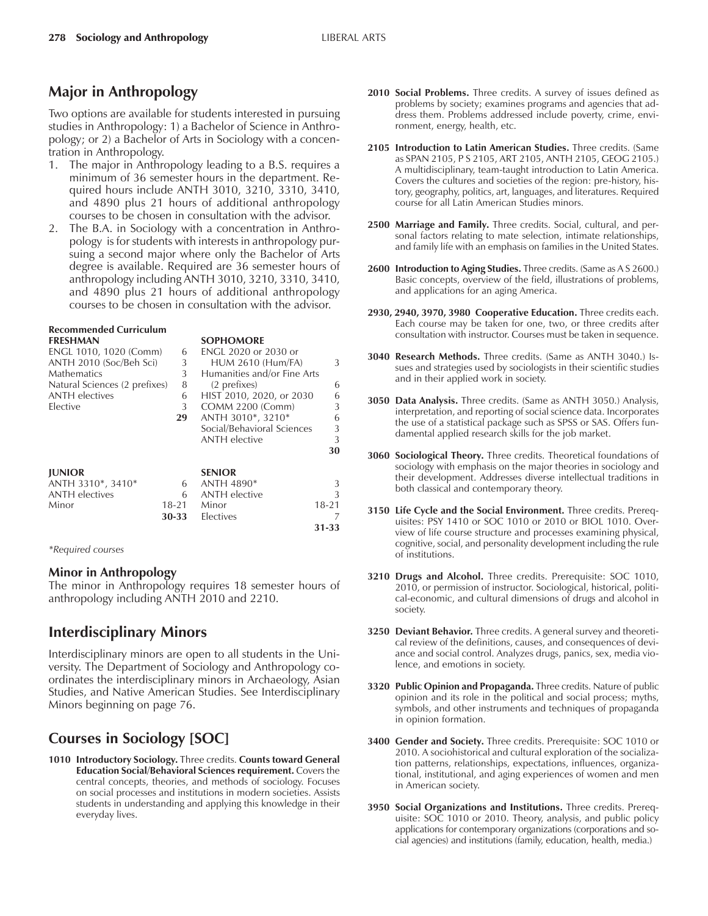## **Major in Anthropology**

Two options are available for students interested in pursuing studies in Anthropology: 1) a Bachelor of Science in Anthropology; or 2) a Bachelor of Arts in Sociology with a concentration in Anthropology.

- 1. The major in Anthropology leading to a B.S. requires a minimum of 36 semester hours in the department. Required hours include ANTH 3010, 3210, 3310, 3410, and 4890 plus 21 hours of additional anthropology courses to be chosen in consultation with the advisor.
- 2. The B.A. in Sociology with a concentration in Anthropology is for students with interests in anthropology pursuing a second major where only the Bachelor of Arts degree is available. Required are 36 semester hours of anthropology including ANTH 3010, 3210, 3310, 3410, and 4890 plus 21 hours of additional anthropology courses to be chosen in consultation with the advisor.

**FRESHMAN SOPHOMORE**

## **Recommended Curriculum**

| I NLJI IIVAN                  |           | JULIU/MUNL                  |           |
|-------------------------------|-----------|-----------------------------|-----------|
| ENGL 1010, 1020 (Comm)        | 6         | ENGL 2020 or 2030 or        |           |
| ANTH 2010 (Soc/Beh Sci)       | 3         | <b>HUM 2610 (Hum/FA)</b>    | 3         |
| Mathematics                   | 3         | Humanities and/or Fine Arts |           |
| Natural Sciences (2 prefixes) | 8         | (2 prefixes)                | 6         |
| ANTH electives                | 6         | HIST 2010, 2020, or 2030    | 6         |
| Elective                      | 3         | COMM 2200 (Comm)            | 3         |
|                               | 29        | ANTH 3010*, 3210*           | 6         |
|                               |           | Social/Behavioral Sciences  | 3         |
|                               |           | <b>ANTH</b> elective        | 3         |
|                               |           |                             | 30        |
| <b>IUNIOR</b>                 |           | <b>SENIOR</b>               |           |
| ANTH 3310*, 3410*             | 6         | <b>ANTH 4890*</b>           | 3         |
| <b>ANTH</b> electives         | 6         | <b>ANTH</b> elective        | 3         |
| Minor                         | $18 - 21$ | Minor                       | $18 - 21$ |
|                               | 30-33     | Electives                   | 7         |
|                               |           |                             | 31-33     |

*\*Required courses*

### **Minor in Anthropology**

The minor in Anthropology requires 18 semester hours of anthropology including ANTH 2010 and 2210.

## **Interdisciplinary Minors**

Interdisciplinary minors are open to all students in the University. The Department of Sociology and Anthropology coordinates the interdisciplinary minors in Archaeology, Asian Studies, and Native American Studies. See Interdisciplinary Minors beginning on page 76.

## **Courses in Sociology [SOC]**

**1010 Introductory Sociology.** Three credits. **Counts toward General Education Social/Behavioral Sciences requirement.** Covers the central concepts, theories, and methods of sociology. Focuses on social processes and institutions in modern societies. Assists students in understanding and applying this knowledge in their everyday lives.

- **2010 Social Problems.** Three credits. A survey of issues defined as problems by society; examines programs and agencies that address them. Problems addressed include poverty, crime, environment, energy, health, etc.
- **2105 Introduction to Latin American Studies.** Three credits. (Same as SPAN 2105, P S 2105, ART 2105, ANTH 2105, GEOG 2105.) A multidisciplinary, team-taught introduction to Latin America. Covers the cultures and societies of the region: pre-history, history, geography, politics, art, languages, and literatures. Required course for all Latin American Studies minors.
- **2500 Marriage and Family.** Three credits. Social, cultural, and personal factors relating to mate selection, intimate relationships, and family life with an emphasis on families in the United States.
- **2600 Introduction to Aging Studies.** Three credits. (Same as A S 2600.) Basic concepts, overview of the field, illustrations of problems, and applications for an aging America.
- **2930, 2940, 3970, 3980 Cooperative Education.** Three credits each. Each course may be taken for one, two, or three credits after consultation with instructor. Courses must be taken in sequence.
- **3040 Research Methods.** Three credits. (Same as ANTH 3040.) Issues and strategies used by sociologists in their scientific studies and in their applied work in society.
- **3050 Data Analysis.** Three credits. (Same as ANTH 3050.) Analysis, interpretation, and reporting of social science data. Incorporates the use of a statistical package such as SPSS or SAS. Offers fundamental applied research skills for the job market.
- **3060 Sociological Theory.** Three credits. Theoretical foundations of sociology with emphasis on the major theories in sociology and their development. Addresses diverse intellectual traditions in both classical and contemporary theory.
- **3150 Life Cycle and the Social Environment.** Three credits. Prerequisites: PSY 1410 or SOC 1010 or 2010 or BIOL 1010. Overview of life course structure and processes examining physical, cognitive, social, and personality development including the rule of institutions.
- **3210 Drugs and Alcohol.** Three credits. Prerequisite: SOC 1010, 2010, or permission of instructor. Sociological, historical, political-economic, and cultural dimensions of drugs and alcohol in society.
- **3250 Deviant Behavior.** Three credits. A general survey and theoretical review of the definitions, causes, and consequences of deviance and social control. Analyzes drugs, panics, sex, media violence, and emotions in society.
- **3320 Public Opinion and Propaganda.** Three credits. Nature of public opinion and its role in the political and social process; myths, symbols, and other instruments and techniques of propaganda in opinion formation.
- **3400 Gender and Society.** Three credits. Prerequisite: SOC 1010 or 2010. A sociohistorical and cultural exploration of the socialization patterns, relationships, expectations, influences, organizational, institutional, and aging experiences of women and men in American society.
- **3950 Social Organizations and Institutions.** Three credits. Prerequisite: SOC 1010 or 2010. Theory, analysis, and public policy applications for contemporary organizations (corporations and social agencies) and institutions (family, education, health, media.)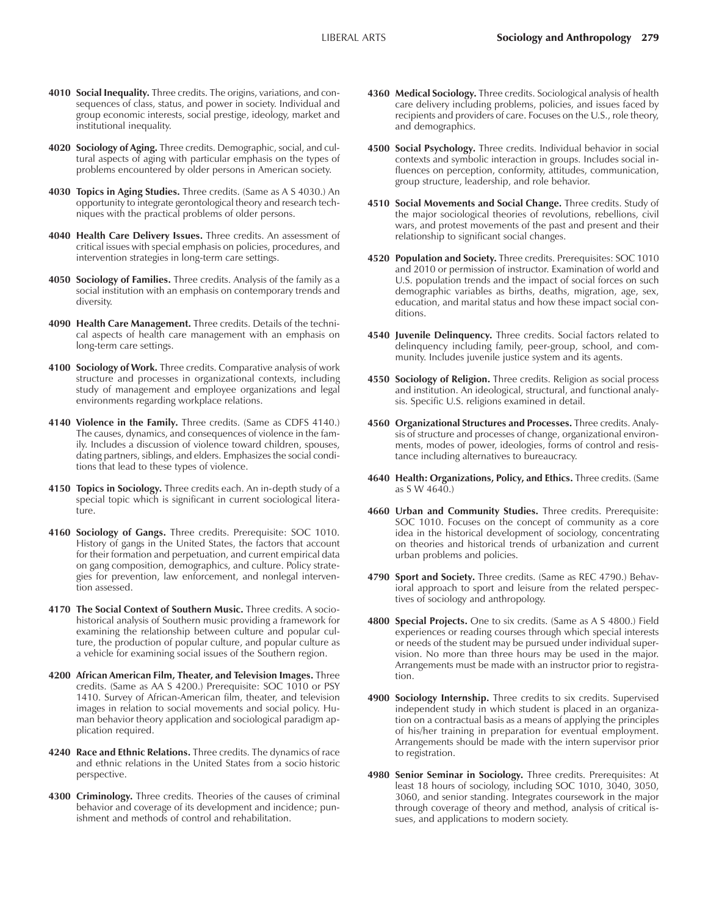- **4010 Social Inequality.** Three credits. The origins, variations, and consequences of class, status, and power in society. Individual and group economic interests, social prestige, ideology, market and institutional inequality.
- **4020 Sociology of Aging.** Three credits. Demographic, social, and cultural aspects of aging with particular emphasis on the types of problems encountered by older persons in American society.
- **4030 Topics in Aging Studies.** Three credits. (Same as A S 4030.) An opportunity to integrate gerontological theory and research techniques with the practical problems of older persons.
- **4040 Health Care Delivery Issues.** Three credits. An assessment of critical issues with special emphasis on policies, procedures, and intervention strategies in long-term care settings.
- **4050 Sociology of Families.** Three credits. Analysis of the family as a social institution with an emphasis on contemporary trends and diversity.
- **4090 Health Care Management.** Three credits. Details of the technical aspects of health care management with an emphasis on long-term care settings.
- **4100 Sociology of Work.** Three credits. Comparative analysis of work structure and processes in organizational contexts, including study of management and employee organizations and legal environments regarding workplace relations.
- **4140 Violence in the Family.** Three credits. (Same as CDFS 4140.) The causes, dynamics, and consequences of violence in the family. Includes a discussion of violence toward children, spouses, dating partners, siblings, and elders. Emphasizes the social conditions that lead to these types of violence.
- **4150 Topics in Sociology.** Three credits each. An in-depth study of a special topic which is significant in current sociological literature.
- **4160 Sociology of Gangs.** Three credits. Prerequisite: SOC 1010. History of gangs in the United States, the factors that account for their formation and perpetuation, and current empirical data on gang composition, demographics, and culture. Policy strategies for prevention, law enforcement, and nonlegal intervention assessed.
- **4170 The Social Context of Southern Music.** Three credits. A sociohistorical analysis of Southern music providing a framework for examining the relationship between culture and popular culture, the production of popular culture, and popular culture as a vehicle for examining social issues of the Southern region.
- **4200 African American Film, Theater, and Television Images.** Three credits. (Same as AA S 4200.) Prerequisite: SOC 1010 or PSY 1410. Survey of African-American film, theater, and television images in relation to social movements and social policy. Human behavior theory application and sociological paradigm application required.
- **4240 Race and Ethnic Relations.** Three credits. The dynamics of race and ethnic relations in the United States from a socio historic perspective.
- **4300 Criminology.** Three credits. Theories of the causes of criminal behavior and coverage of its development and incidence; punishment and methods of control and rehabilitation.
- **4360 Medical Sociology.** Three credits. Sociological analysis of health care delivery including problems, policies, and issues faced by recipients and providers of care. Focuses on the U.S., role theory, and demographics.
- **4500 Social Psychology.** Three credits. Individual behavior in social contexts and symbolic interaction in groups. Includes social influences on perception, conformity, attitudes, communication, group structure, leadership, and role behavior.
- **4510 Social Movements and Social Change.** Three credits. Study of the major sociological theories of revolutions, rebellions, civil wars, and protest movements of the past and present and their relationship to significant social changes.
- **4520 Population and Society.** Three credits. Prerequisites: SOC 1010 and 2010 or permission of instructor. Examination of world and U.S. population trends and the impact of social forces on such demographic variables as births, deaths, migration, age, sex, education, and marital status and how these impact social conditions.
- **4540 Juvenile Delinquency.** Three credits. Social factors related to delinquency including family, peer-group, school, and community. Includes juvenile justice system and its agents.
- **4550 Sociology of Religion.** Three credits. Religion as social process and institution. An ideological, structural, and functional analysis. Specific U.S. religions examined in detail.
- **4560 Organizational Structures and Processes.** Three credits. Analysis of structure and processes of change, organizational environments, modes of power, ideologies, forms of control and resistance including alternatives to bureaucracy.
- **4640 Health: Organizations, Policy, and Ethics.** Three credits. (Same as S W 4640.)
- **4660 Urban and Community Studies.** Three credits. Prerequisite: SOC 1010. Focuses on the concept of community as a core idea in the historical development of sociology, concentrating on theories and historical trends of urbanization and current urban problems and policies.
- **4790 Sport and Society.** Three credits. (Same as REC 4790.) Behavioral approach to sport and leisure from the related perspectives of sociology and anthropology.
- **4800 Special Projects.** One to six credits. (Same as A S 4800.) Field experiences or reading courses through which special interests or needs of the student may be pursued under individual supervision. No more than three hours may be used in the major. Arrangements must be made with an instructor prior to registration.
- **4900 Sociology Internship.** Three credits to six credits. Supervised independent study in which student is placed in an organization on a contractual basis as a means of applying the principles of his/her training in preparation for eventual employment. Arrangements should be made with the intern supervisor prior to registration.
- **4980 Senior Seminar in Sociology.** Three credits. Prerequisites: At least 18 hours of sociology, including SOC 1010, 3040, 3050, 3060, and senior standing. Integrates coursework in the major through coverage of theory and method, analysis of critical issues, and applications to modern society.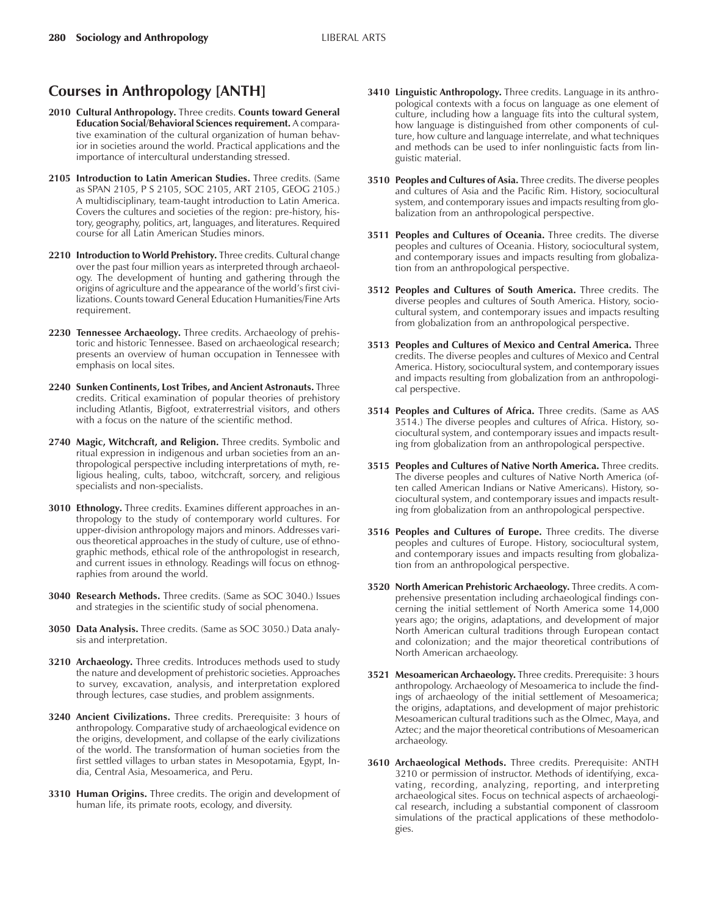## **Courses in Anthropology [ANTH]**

- **2010 Cultural Anthropology.** Three credits. **Counts toward General Education Social/Behavioral Sciences requirement.** A comparative examination of the cultural organization of human behavior in societies around the world. Practical applications and the importance of intercultural understanding stressed.
- **2105 Introduction to Latin American Studies.** Three credits. (Same as SPAN 2105, P S 2105, SOC 2105, ART 2105, GEOG 2105.) A multidisciplinary, team-taught introduction to Latin America. Covers the cultures and societies of the region: pre-history, history, geography, politics, art, languages, and literatures. Required course for all Latin American Studies minors.
- **2210 Introduction to World Prehistory.** Three credits. Cultural change over the past four million years as interpreted through archaeology. The development of hunting and gathering through the origins of agriculture and the appearance of the world's first civilizations. Counts toward General Education Humanities/Fine Arts requirement.
- **2230 Tennessee Archaeology.** Three credits. Archaeology of prehistoric and historic Tennessee. Based on archaeological research; presents an overview of human occupation in Tennessee with emphasis on local sites.
- **2240 Sunken Continents, Lost Tribes, and Ancient Astronauts.** Three credits. Critical examination of popular theories of prehistory including Atlantis, Bigfoot, extraterrestrial visitors, and others with a focus on the nature of the scientific method.
- **2740 Magic, Witchcraft, and Religion.** Three credits. Symbolic and ritual expression in indigenous and urban societies from an anthropological perspective including interpretations of myth, religious healing, cults, taboo, witchcraft, sorcery, and religious specialists and non-specialists.
- **3010 Ethnology.** Three credits. Examines different approaches in anthropology to the study of contemporary world cultures. For upper-division anthropology majors and minors. Addresses various theoretical approaches in the study of culture, use of ethnographic methods, ethical role of the anthropologist in research, and current issues in ethnology. Readings will focus on ethnographies from around the world.
- **3040 Research Methods.** Three credits. (Same as SOC 3040.) Issues and strategies in the scientific study of social phenomena.
- **3050 Data Analysis.** Three credits. (Same as SOC 3050.) Data analysis and interpretation.
- **3210 Archaeology.** Three credits. Introduces methods used to study the nature and development of prehistoric societies. Approaches to survey, excavation, analysis, and interpretation explored through lectures, case studies, and problem assignments.
- **3240 Ancient Civilizations.** Three credits. Prerequisite: 3 hours of anthropology. Comparative study of archaeological evidence on the origins, development, and collapse of the early civilizations of the world. The transformation of human societies from the first settled villages to urban states in Mesopotamia, Egypt, India, Central Asia, Mesoamerica, and Peru.
- **3310 Human Origins.** Three credits. The origin and development of human life, its primate roots, ecology, and diversity.
- **3410 Linguistic Anthropology.** Three credits. Language in its anthropological contexts with a focus on language as one element of culture, including how a language fits into the cultural system, how language is distinguished from other components of culture, how culture and language interrelate, and what techniques and methods can be used to infer nonlinguistic facts from linguistic material.
- **3510 Peoples and Cultures of Asia.** Three credits. The diverse peoples and cultures of Asia and the Pacific Rim. History, sociocultural system, and contemporary issues and impacts resulting from globalization from an anthropological perspective.
- **3511 Peoples and Cultures of Oceania.** Three credits. The diverse peoples and cultures of Oceania. History, sociocultural system, and contemporary issues and impacts resulting from globalization from an anthropological perspective.
- **3512 Peoples and Cultures of South America.** Three credits. The diverse peoples and cultures of South America. History, sociocultural system, and contemporary issues and impacts resulting from globalization from an anthropological perspective.
- **3513 Peoples and Cultures of Mexico and Central America.** Three credits. The diverse peoples and cultures of Mexico and Central America. History, sociocultural system, and contemporary issues and impacts resulting from globalization from an anthropological perspective.
- **3514 Peoples and Cultures of Africa.** Three credits. (Same as AAS 3514.) The diverse peoples and cultures of Africa. History, sociocultural system, and contemporary issues and impacts resulting from globalization from an anthropological perspective.
- **3515 Peoples and Cultures of Native North America.** Three credits. The diverse peoples and cultures of Native North America (often called American Indians or Native Americans). History, sociocultural system, and contemporary issues and impacts resulting from globalization from an anthropological perspective.
- **3516 Peoples and Cultures of Europe.** Three credits. The diverse peoples and cultures of Europe. History, sociocultural system, and contemporary issues and impacts resulting from globalization from an anthropological perspective.
- **3520 North American Prehistoric Archaeology.** Three credits. A comprehensive presentation including archaeological findings concerning the initial settlement of North America some 14,000 years ago; the origins, adaptations, and development of major North American cultural traditions through European contact and colonization; and the major theoretical contributions of North American archaeology.
- **3521 Mesoamerican Archaeology.** Three credits. Prerequisite: 3 hours anthropology. Archaeology of Mesoamerica to include the findings of archaeology of the initial settlement of Mesoamerica; the origins, adaptations, and development of major prehistoric Mesoamerican cultural traditions such as the Olmec, Maya, and Aztec; and the major theoretical contributions of Mesoamerican archaeology.
- **3610 Archaeological Methods.** Three credits. Prerequisite: ANTH 3210 or permission of instructor. Methods of identifying, excavating, recording, analyzing, reporting, and interpreting archaeological sites. Focus on technical aspects of archaeological research, including a substantial component of classroom simulations of the practical applications of these methodologies.